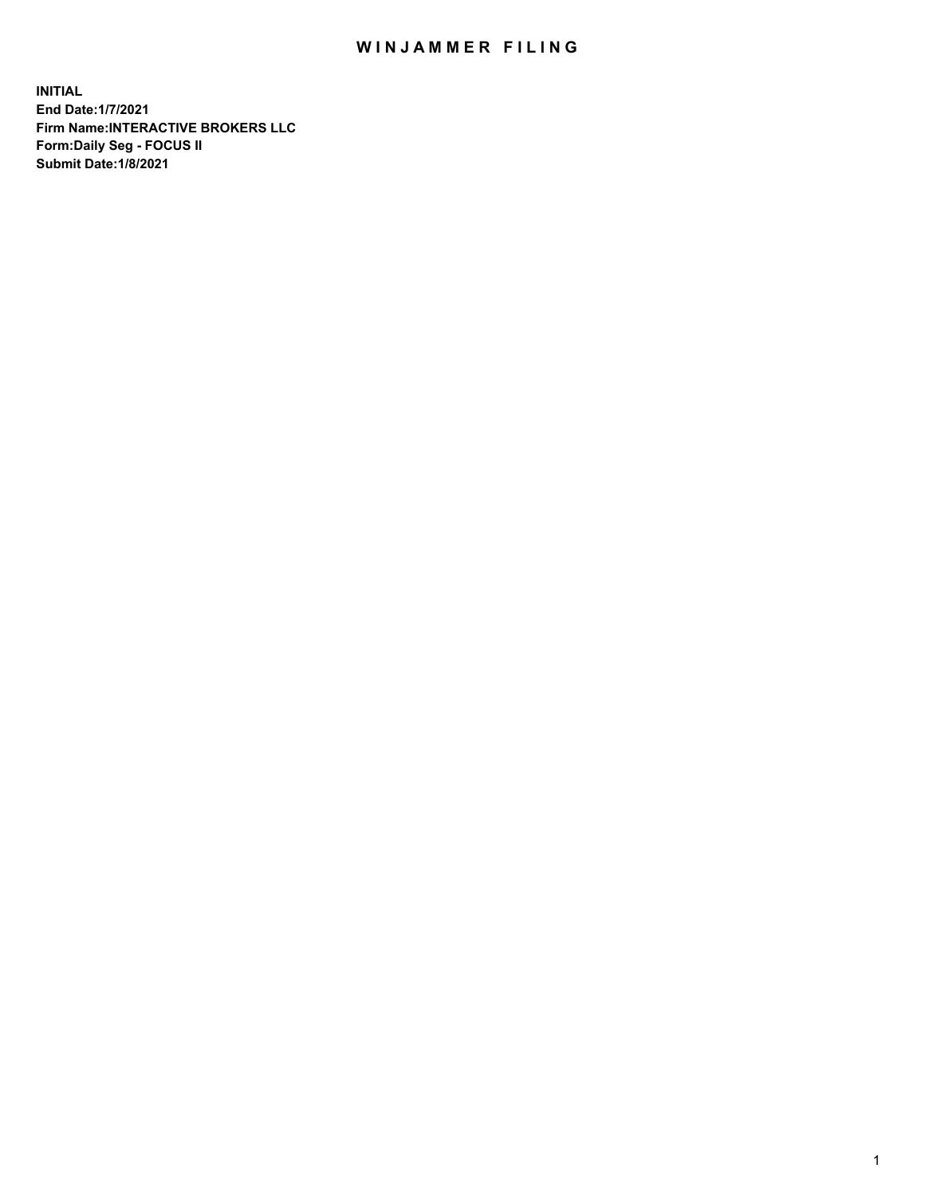## WIN JAMMER FILING

**INITIAL End Date:1/7/2021 Firm Name:INTERACTIVE BROKERS LLC Form:Daily Seg - FOCUS II Submit Date:1/8/2021**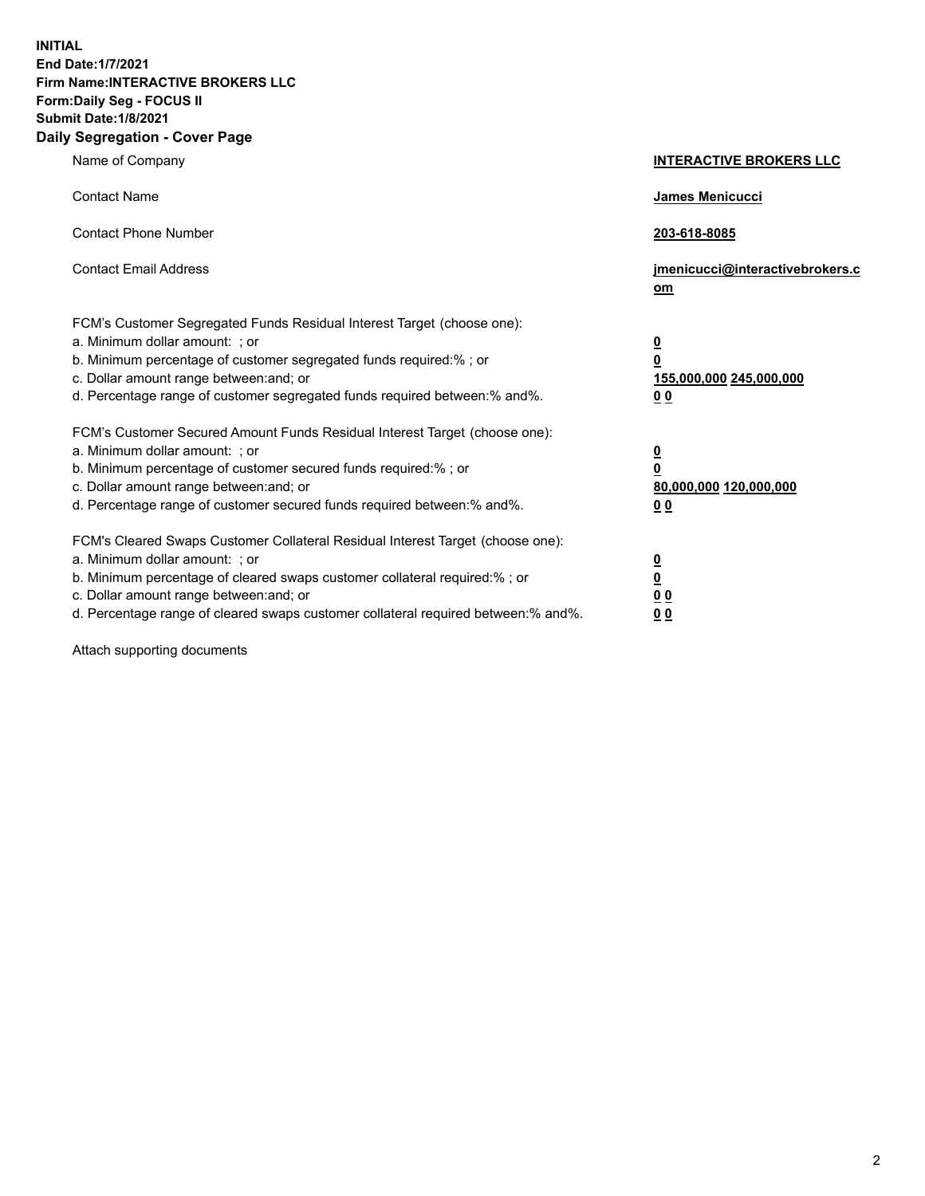**INITIAL End Date:1/7/2021 Firm Name:INTERACTIVE BROKERS LLC Form:Daily Seg - FOCUS II Submit Date:1/8/2021 Daily Segregation - Cover Page**

| Name of Company                                                                                                                                                                                                                                                                                                                | <b>INTERACTIVE BROKERS LLC</b>                                                                  |
|--------------------------------------------------------------------------------------------------------------------------------------------------------------------------------------------------------------------------------------------------------------------------------------------------------------------------------|-------------------------------------------------------------------------------------------------|
| <b>Contact Name</b>                                                                                                                                                                                                                                                                                                            | James Menicucci                                                                                 |
| <b>Contact Phone Number</b>                                                                                                                                                                                                                                                                                                    | 203-618-8085                                                                                    |
| <b>Contact Email Address</b>                                                                                                                                                                                                                                                                                                   | jmenicucci@interactivebrokers.c<br>om                                                           |
| FCM's Customer Segregated Funds Residual Interest Target (choose one):<br>a. Minimum dollar amount: ; or<br>b. Minimum percentage of customer segregated funds required:%; or<br>c. Dollar amount range between: and; or<br>d. Percentage range of customer segregated funds required between:% and%.                          | $\overline{\mathbf{0}}$<br>$\overline{\mathbf{0}}$<br>155,000,000 245,000,000<br>0 <sub>0</sub> |
| FCM's Customer Secured Amount Funds Residual Interest Target (choose one):<br>a. Minimum dollar amount: ; or<br>b. Minimum percentage of customer secured funds required:% ; or<br>c. Dollar amount range between: and; or<br>d. Percentage range of customer secured funds required between:% and%.                           | $\frac{0}{0}$<br>80,000,000 120,000,000<br>0 <sub>0</sub>                                       |
| FCM's Cleared Swaps Customer Collateral Residual Interest Target (choose one):<br>a. Minimum dollar amount: ; or<br>b. Minimum percentage of cleared swaps customer collateral required:% ; or<br>c. Dollar amount range between: and; or<br>d. Percentage range of cleared swaps customer collateral required between:% and%. | $\frac{0}{0}$<br>0 <sub>0</sub><br>0 <sub>0</sub>                                               |

Attach supporting documents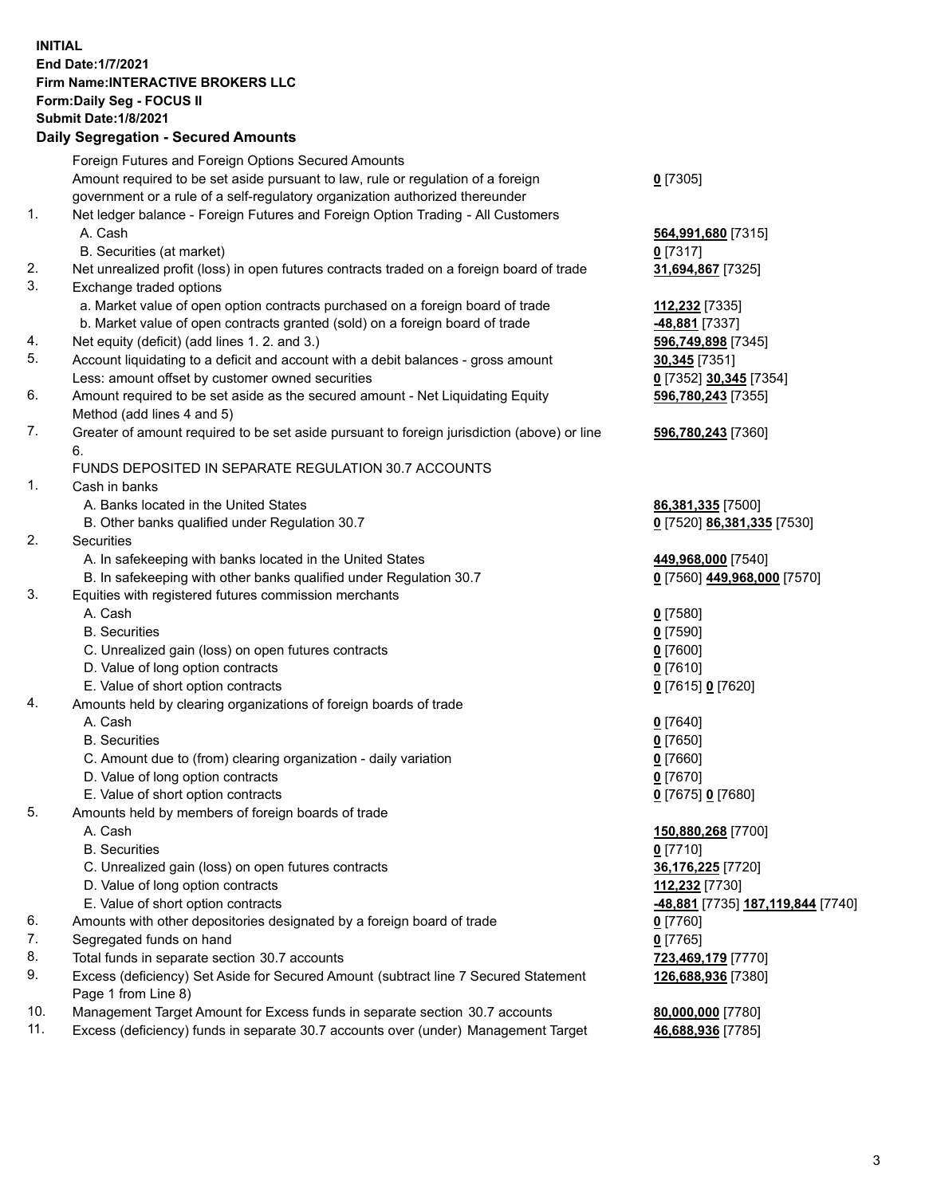## **INITIAL End Date:1/7/2021 Firm Name:INTERACTIVE BROKERS LLC Form:Daily Seg - FOCUS II Submit Date:1/8/2021 Daily Segregation - Secured Amounts**

|     | 2011, Ocgi ogation - Oceanea Anioanita                                                      |                                                |
|-----|---------------------------------------------------------------------------------------------|------------------------------------------------|
|     | Foreign Futures and Foreign Options Secured Amounts                                         |                                                |
|     | Amount required to be set aside pursuant to law, rule or regulation of a foreign            | $0$ [7305]                                     |
|     | government or a rule of a self-regulatory organization authorized thereunder                |                                                |
| 1.  | Net ledger balance - Foreign Futures and Foreign Option Trading - All Customers             |                                                |
|     | A. Cash                                                                                     | 564,991,680 [7315]                             |
|     | B. Securities (at market)                                                                   | $0$ [7317]                                     |
| 2.  | Net unrealized profit (loss) in open futures contracts traded on a foreign board of trade   | 31,694,867 [7325]                              |
| 3.  | Exchange traded options                                                                     |                                                |
|     | a. Market value of open option contracts purchased on a foreign board of trade              | 112,232 [7335]                                 |
|     | b. Market value of open contracts granted (sold) on a foreign board of trade                | -48,881 [7337]                                 |
| 4.  | Net equity (deficit) (add lines 1. 2. and 3.)                                               | 596,749,898 [7345]                             |
| 5.  | Account liquidating to a deficit and account with a debit balances - gross amount           | 30,345 [7351]                                  |
|     | Less: amount offset by customer owned securities                                            | 0 [7352] 30,345 [7354]                         |
| 6.  | Amount required to be set aside as the secured amount - Net Liquidating Equity              | 596,780,243 [7355]                             |
|     | Method (add lines 4 and 5)                                                                  |                                                |
| 7.  | Greater of amount required to be set aside pursuant to foreign jurisdiction (above) or line | 596,780,243 [7360]                             |
|     | 6.                                                                                          |                                                |
|     | FUNDS DEPOSITED IN SEPARATE REGULATION 30.7 ACCOUNTS                                        |                                                |
| 1.  | Cash in banks                                                                               |                                                |
|     | A. Banks located in the United States                                                       | 86,381,335 [7500]                              |
|     | B. Other banks qualified under Regulation 30.7                                              | 0 [7520] 86,381,335 [7530]                     |
| 2.  | Securities                                                                                  |                                                |
|     | A. In safekeeping with banks located in the United States                                   | 449,968,000 [7540]                             |
|     | B. In safekeeping with other banks qualified under Regulation 30.7                          | 0 [7560] 449,968,000 [7570]                    |
| 3.  | Equities with registered futures commission merchants                                       |                                                |
|     | A. Cash                                                                                     | $0$ [7580]                                     |
|     | <b>B.</b> Securities                                                                        | $0$ [7590]                                     |
|     | C. Unrealized gain (loss) on open futures contracts                                         | $0$ [7600]                                     |
|     | D. Value of long option contracts                                                           | $0$ [7610]                                     |
|     | E. Value of short option contracts                                                          | 0 [7615] 0 [7620]                              |
| 4.  | Amounts held by clearing organizations of foreign boards of trade                           |                                                |
|     | A. Cash                                                                                     | $Q$ [7640]                                     |
|     | <b>B.</b> Securities                                                                        | $0$ [7650]                                     |
|     | C. Amount due to (from) clearing organization - daily variation                             | $0$ [7660]                                     |
|     | D. Value of long option contracts                                                           | $0$ [7670]                                     |
|     | E. Value of short option contracts                                                          | 0 [7675] 0 [7680]                              |
| 5.  | Amounts held by members of foreign boards of trade                                          |                                                |
|     | A. Cash                                                                                     | 150,880,268 [7700]                             |
|     | <b>B.</b> Securities                                                                        | $0$ [7710]                                     |
|     | C. Unrealized gain (loss) on open futures contracts                                         | 36,176,225 [7720]                              |
|     | D. Value of long option contracts                                                           | <u>112,232</u> [7730]                          |
|     | E. Value of short option contracts                                                          | <mark>-48,881</mark> [7735] 187,119,844 [7740] |
| 6.  | Amounts with other depositories designated by a foreign board of trade                      | $0$ [7760]                                     |
| 7.  | Segregated funds on hand                                                                    | $0$ [7765]                                     |
| 8.  | Total funds in separate section 30.7 accounts                                               | 723,469,179 [7770]                             |
| 9.  | Excess (deficiency) Set Aside for Secured Amount (subtract line 7 Secured Statement         | 126,688,936 [7380]                             |
|     | Page 1 from Line 8)                                                                         |                                                |
| 10. | Management Target Amount for Excess funds in separate section 30.7 accounts                 | 80,000,000 [7780]                              |
| 11. | Excess (deficiency) funds in separate 30.7 accounts over (under) Management Target          | 46,688,936 [7785]                              |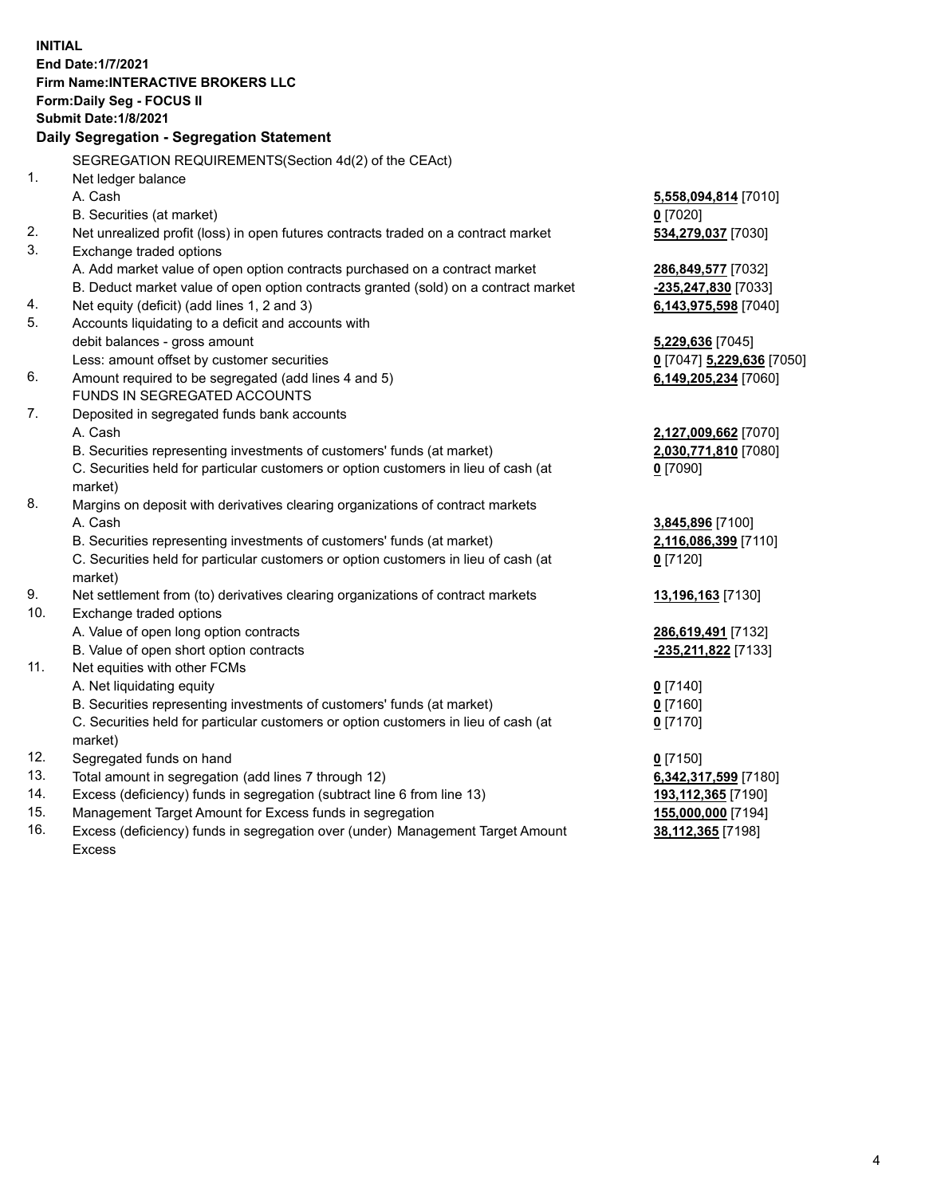**INITIAL End Date:1/7/2021 Firm Name:INTERACTIVE BROKERS LLC Form:Daily Seg - FOCUS II Submit Date:1/8/2021 Daily Segregation - Segregation Statement** SEGREGATION REQUIREMENTS(Section 4d(2) of the CEAct) 1. Net ledger balance A. Cash **5,558,094,814** [7010] B. Securities (at market) **0** [7020] 2. Net unrealized profit (loss) in open futures contracts traded on a contract market **534,279,037** [7030] 3. Exchange traded options A. Add market value of open option contracts purchased on a contract market **286,849,577** [7032] B. Deduct market value of open option contracts granted (sold) on a contract market **-235,247,830** [7033] 4. Net equity (deficit) (add lines 1, 2 and 3) **6,143,975,598** [7040] 5. Accounts liquidating to a deficit and accounts with debit balances - gross amount **5,229,636** [7045] Less: amount offset by customer securities **0** [7047] **5,229,636** [7050] 6. Amount required to be segregated (add lines 4 and 5) **6,149,205,234** [7060] FUNDS IN SEGREGATED ACCOUNTS 7. Deposited in segregated funds bank accounts A. Cash **2,127,009,662** [7070] B. Securities representing investments of customers' funds (at market) **2,030,771,810** [7080] C. Securities held for particular customers or option customers in lieu of cash (at market) **0** [7090] 8. Margins on deposit with derivatives clearing organizations of contract markets A. Cash **3,845,896** [7100] B. Securities representing investments of customers' funds (at market) **2,116,086,399** [7110] C. Securities held for particular customers or option customers in lieu of cash (at market) **0** [7120] 9. Net settlement from (to) derivatives clearing organizations of contract markets **13,196,163** [7130] 10. Exchange traded options A. Value of open long option contracts **286,619,491** [7132] B. Value of open short option contracts **-235,211,822** [7133] 11. Net equities with other FCMs A. Net liquidating equity **0** [7140] B. Securities representing investments of customers' funds (at market) **0** [7160] C. Securities held for particular customers or option customers in lieu of cash (at market) **0** [7170] 12. Segregated funds on hand **0** [7150] 13. Total amount in segregation (add lines 7 through 12) **6,342,317,599** [7180] 14. Excess (deficiency) funds in segregation (subtract line 6 from line 13) **193,112,365** [7190] 15. Management Target Amount for Excess funds in segregation **155,000,000** [7194] 16. Excess (deficiency) funds in segregation over (under) Management Target Amount **38,112,365** [7198]

Excess